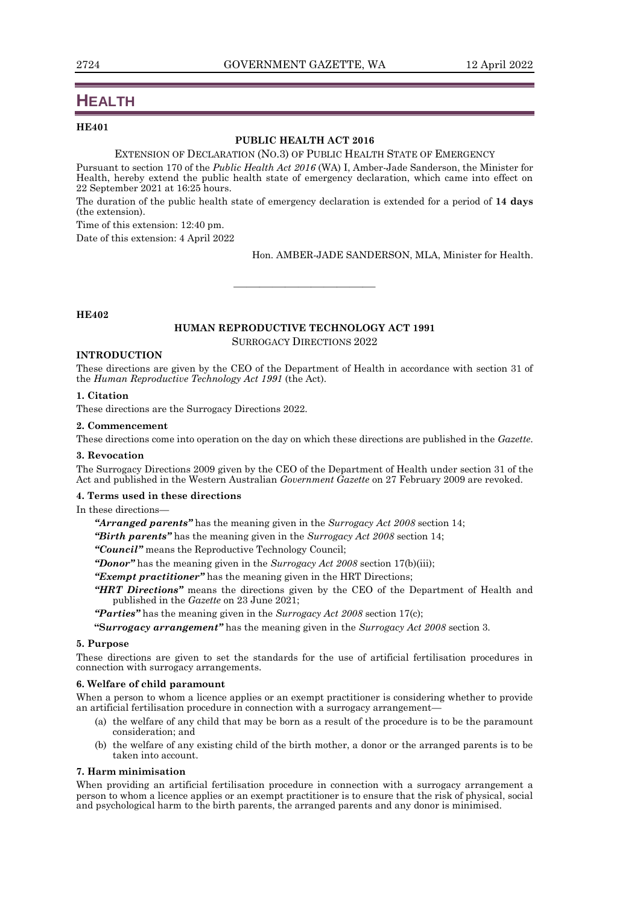# **HEALTH**

# **HE401**

### **PUBLIC HEALTH ACT 2016**

#### EXTENSION OF DECLARATION (NO.3) OF PUBLIC HEALTH STATE OF EMERGENCY

Pursuant to section 170 of the *Public Health Act 2016* (WA) I, Amber-Jade Sanderson, the Minister for Health, hereby extend the public health state of emergency declaration, which came into effect on 22 September 2021 at 16:25 hours.

The duration of the public health state of emergency declaration is extended for a period of **14 days**  (the extension).

Time of this extension: 12:40 pm.

Date of this extension: 4 April 2022

Hon. AMBER-JADE SANDERSON, MLA, Minister for Health.

## **HE402**

## **HUMAN REPRODUCTIVE TECHNOLOGY ACT 1991** SURROGACY DIRECTIONS 2022

———————————

#### **INTRODUCTION**

These directions are given by the CEO of the Department of Health in accordance with section 31 of the *Human Reproductive Technology Act 1991* (the Act).

## **1. Citation**

These directions are the Surrogacy Directions 2022.

#### **2. Commencement**

These directions come into operation on the day on which these directions are published in the *Gazette*.

## **3. Revocation**

The Surrogacy Directions 2009 given by the CEO of the Department of Health under section 31 of the Act and published in the Western Australian *Government Gazette* on 27 February 2009 are revoked.

### **4. Terms used in these directions**

In these directions—

*"Arranged parents"* has the meaning given in the *Surrogacy Act 2008* section 14;

*"Birth parents"* has the meaning given in the *Surrogacy Act 2008* section 14;

*"Council"* means the Reproductive Technology Council;

*"Donor"* has the meaning given in the *Surrogacy Act 2008* section 17(b)(iii);

*"Exempt practitioner"* has the meaning given in the HRT Directions;

*"HRT Directions"* means the directions given by the CEO of the Department of Health and published in the *Gazette* on 23 June 2021;

*"Parties"* has the meaning given in the *Surrogacy Act 2008* section 17(c);

**"S***urrogacy arrangement"* has the meaning given in the *Surrogacy Act 2008* section 3.

## **5. Purpose**

These directions are given to set the standards for the use of artificial fertilisation procedures in connection with surrogacy arrangements.

#### **6. Welfare of child paramount**

When a person to whom a licence applies or an exempt practitioner is considering whether to provide an artificial fertilisation procedure in connection with a surrogacy arrangement—

- (a) the welfare of any child that may be born as a result of the procedure is to be the paramount consideration; and
- (b) the welfare of any existing child of the birth mother, a donor or the arranged parents is to be taken into account.

## **7. Harm minimisation**

When providing an artificial fertilisation procedure in connection with a surrogacy arrangement a person to whom a licence applies or an exempt practitioner is to ensure that the risk of physical, social and psychological harm to the birth parents, the arranged parents and any donor is minimised.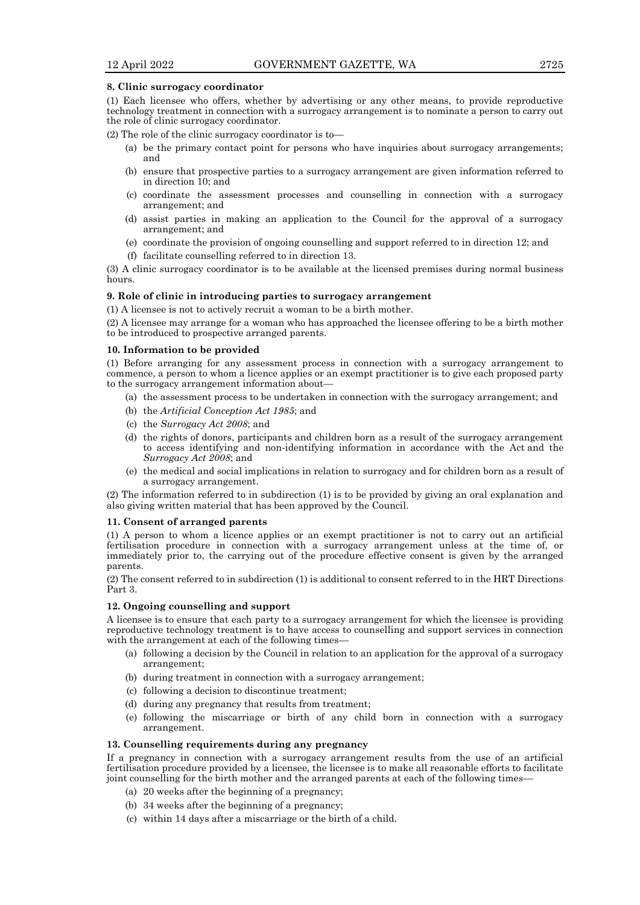#### **8. Clinic surrogacy coordinator**

(1) Each licensee who offers, whether by advertising or any other means, to provide reproductive technology treatment in connection with a surrogacy arrangement is to nominate a person to carry out the role of clinic surrogacy coordinator.

(2) The role of the clinic surrogacy coordinator is to—

- (a) be the primary contact point for persons who have inquiries about surrogacy arrangements; and
- (b) ensure that prospective parties to a surrogacy arrangement are given information referred to in direction 10; and
- (c) coordinate the assessment processes and counselling in connection with a surrogacy arrangement; and
- (d) assist parties in making an application to the Council for the approval of a surrogacy arrangement; and
- (e) coordinate the provision of ongoing counselling and support referred to in direction 12; and
- (f) facilitate counselling referred to in direction 13.

(3) A clinic surrogacy coordinator is to be available at the licensed premises during normal business hours.

#### **9. Role of clinic in introducing parties to surrogacy arrangement**

(1) A licensee is not to actively recruit a woman to be a birth mother.

(2) A licensee may arrange for a woman who has approached the licensee offering to be a birth mother to be introduced to prospective arranged parents.

#### **10. Information to be provided**

(1) Before arranging for any assessment process in connection with a surrogacy arrangement to commence, a person to whom a licence applies or an exempt practitioner is to give each proposed party to the surrogacy arrangement information about—

- (a) the assessment process to be undertaken in connection with the surrogacy arrangement; and
- (b) the *Artificial Conception Act 1985*; and
- (c) the *Surrogacy Act 2008*; and
- (d) the rights of donors, participants and children born as a result of the surrogacy arrangement to access identifying and non-identifying information in accordance with the Act and the *Surrogacy Act 2008*; and
- (e) the medical and social implications in relation to surrogacy and for children born as a result of a surrogacy arrangement.

(2) The information referred to in subdirection (1) is to be provided by giving an oral explanation and also giving written material that has been approved by the Council.

#### **11. Consent of arranged parents**

(1) A person to whom a licence applies or an exempt practitioner is not to carry out an artificial fertilisation procedure in connection with a surrogacy arrangement unless at the time of, or immediately prior to, the carrying out of the procedure effective consent is given by the arranged parents.

(2) The consent referred to in subdirection (1) is additional to consent referred to in the HRT Directions Part 3.

#### **12. Ongoing counselling and support**

A licensee is to ensure that each party to a surrogacy arrangement for which the licensee is providing reproductive technology treatment is to have access to counselling and support services in connection with the arrangement at each of the following times-

- (a) following a decision by the Council in relation to an application for the approval of a surrogacy arrangement;
- (b) during treatment in connection with a surrogacy arrangement;
- (c) following a decision to discontinue treatment;
- (d) during any pregnancy that results from treatment;
- (e) following the miscarriage or birth of any child born in connection with a surrogacy arrangement.

## **13. Counselling requirements during any pregnancy**

If a pregnancy in connection with a surrogacy arrangement results from the use of an artificial fertilisation procedure provided by a licensee, the licensee is to make all reasonable efforts to facilitate joint counselling for the birth mother and the arranged parents at each of the following times—

- (a) 20 weeks after the beginning of a pregnancy;
- (b) 34 weeks after the beginning of a pregnancy;
- (c) within 14 days after a miscarriage or the birth of a child.